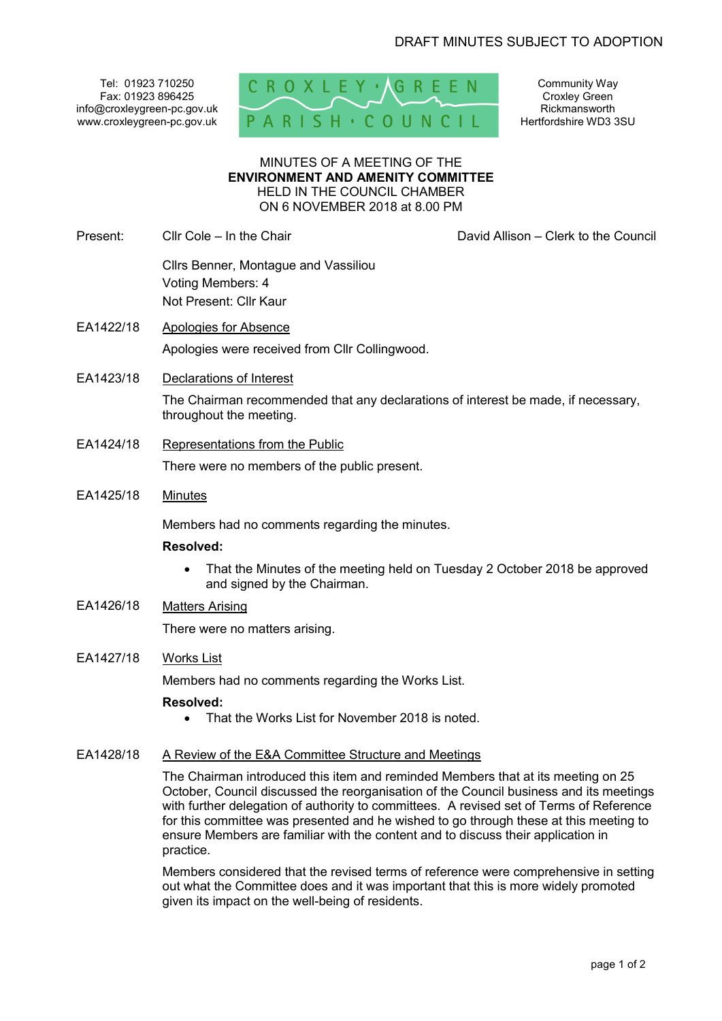Tel: 01923 710250 Fax: 01923 896425 info@croxleygreen-pc.gov.uk www.croxleygreen-pc.gov.uk



Community Way Croxley Green Rickmansworth Hertfordshire WD3 3SU

MINUTES OF A MEETING OF THE **ENVIRONMENT AND AMENITY COMMITTEE** HELD IN THE COUNCIL CHAMBER ON 6 NOVEMBER 2018 at 8.00 PM

Present: Cllr Cole – In the Chair David Allison – Clerk to the Council

 Cllrs Benner, Montague and Vassiliou Voting Members: 4 Not Present: Cllr Kaur

- EA1422/18 Apologies for Absence Apologies were received from Cllr Collingwood.
- EA1423/18 Declarations of Interest The Chairman recommended that any declarations of interest be made, if necessary,
- EA1424/18 Representations from the Public

throughout the meeting.

There were no members of the public present.

EA1425/18 Minutes

Members had no comments regarding the minutes.

## **Resolved:**

- That the Minutes of the meeting held on Tuesday 2 October 2018 be approved and signed by the Chairman.
- EA1426/18 Matters Arising

There were no matters arising.

# EA1427/18 Works List

Members had no comments regarding the Works List.

## **Resolved:**

• That the Works List for November 2018 is noted.

## EA1428/18 A Review of the E&A Committee Structure and Meetings

The Chairman introduced this item and reminded Members that at its meeting on 25 October, Council discussed the reorganisation of the Council business and its meetings with further delegation of authority to committees. A revised set of Terms of Reference for this committee was presented and he wished to go through these at this meeting to ensure Members are familiar with the content and to discuss their application in practice.

Members considered that the revised terms of reference were comprehensive in setting out what the Committee does and it was important that this is more widely promoted given its impact on the well-being of residents.